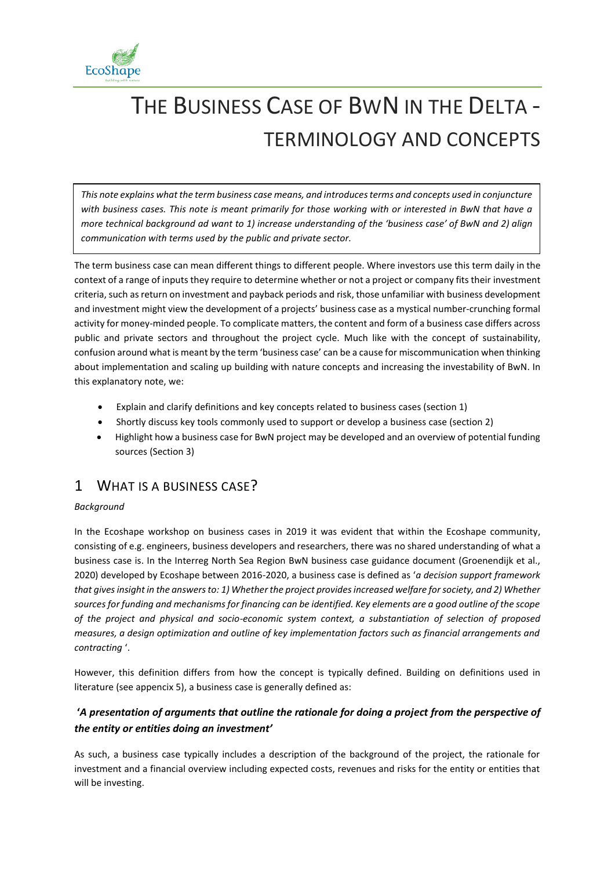

# THE BUSINESS CASE OF BWN IN THE DELTA - TERMINOLOGY AND CONCEPTS

*This note explains what the term business case means, and introducesterms and concepts used in conjuncture with business cases. This note is meant primarily for those working with or interested in BwN that have a more technical background ad want to 1) increase understanding of the 'business case' of BwN and 2) align communication with terms used by the public and private sector.* 

The term business case can mean different things to different people. Where investors use this term daily in the context of a range of inputs they require to determine whether or not a project or company fits their investment criteria, such as return on investment and payback periods and risk, those unfamiliar with business development and investment might view the development of a projects' business case as a mystical number-crunching formal activity for money-minded people. To complicate matters, the content and form of a business case differs across public and private sectors and throughout the project cycle. Much like with the concept of sustainability, confusion around what is meant by the term 'business case' can be a cause for miscommunication when thinking about implementation and scaling up building with nature concepts and increasing the investability of BwN. In this explanatory note, we:

- Explain and clarify definitions and key concepts related to business cases (section 1)
- Shortly discuss key tools commonly used to support or develop a business case (section 2)
- Highlight how a business case for BwN project may be developed and an overview of potential funding sources (Section 3)

# 1 WHAT IS A BUSINESS CASE?

## *Background*

In the Ecoshape workshop on business cases in 2019 it was evident that within the Ecoshape community, consisting of e.g. engineers, business developers and researchers, there was no shared understanding of what a business case is. In the Interreg North Sea Region BwN business case guidance document (Groenendijk et al., 2020) developed by Ecoshape between 2016-2020, a business case is defined as '*a decision support framework that gives insight in the answers to: 1) Whether the project provides increased welfare for society, and 2) Whether sources for funding and mechanisms for financing can be identified. Key elements are a good outline of the scope of the project and physical and socio-economic system context, a substantiation of selection of proposed measures, a design optimization and outline of key implementation factors such as financial arrangements and contracting* '.

However, this definition differs from how the concept is typically defined. Building on definitions used in literature (see appencix [5\)](#page-6-0), a business case is generally defined as:

## **'***A presentation of arguments that outline the rationale for doing a project from the perspective of the entity or entities doing an investment'*

As such, a business case typically includes a description of the background of the project, the rationale for investment and a financial overview including expected costs, revenues and risks for the entity or entities that will be investing.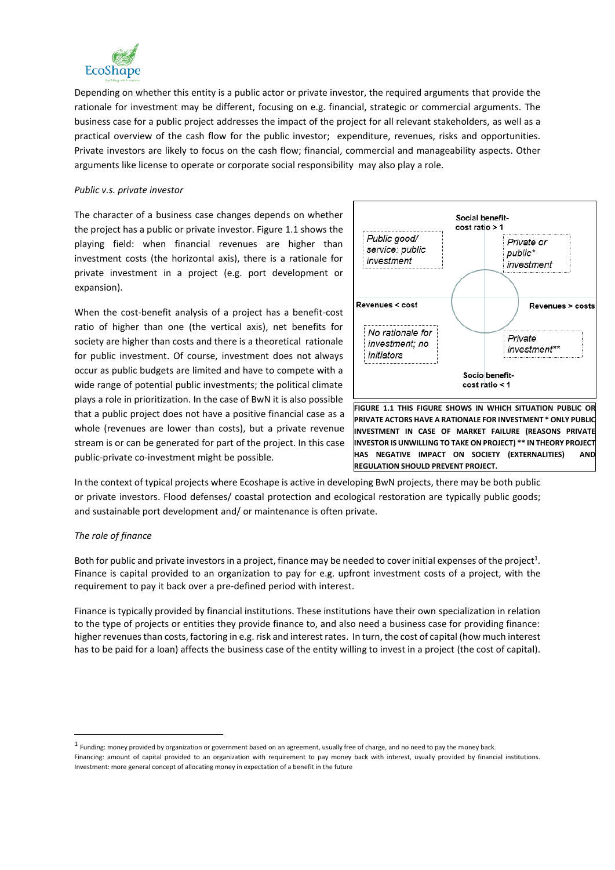

Depending on whether this entity is a public actor or private investor, the required arguments that provide the rationale for investment may be different, focusing on e.g. financial, strategic or commercial arguments. The business case for a public project addresses the impact of the project for all relevant stakeholders, as well as a practical overview of the cash flow for the public investor; expenditure, revenues, risks and opportunities. Private investors are likely to focus on the cash flow; financial, commercial and manageability aspects. Other arguments like license to operate or corporate social responsibility may also play a role.

#### *Public v.s. private investor*

The character of a business case changes depends on whether the project has a public or private investor[. Figure 1.1](#page-1-0) shows the playing field: when financial revenues are higher than investment costs (the horizontal axis), there is a rationale for private investment in a project (e.g. port development or expansion).

When the cost-benefit analysis of a project has a benefit-cost ratio of higher than one (the vertical axis), net benefits for society are higher than costs and there is a theoretical rationale for public investment. Of course, investment does not always occur as public budgets are limited and have to compete with a wide range of potential public investments; the political climate plays a role in prioritization. In the case of BwN it is also possible that a public project does not have a positive financial case as a whole (revenues are lower than costs), but a private revenue stream is or can be generated for part of the project. In this case public-private co-investment might be possible.



<span id="page-1-0"></span>**FIGURE 1.1 THIS FIGURE SHOWS IN WHICH SITUATION PUBLIC OR PRIVATE ACTORS HAVE A RATIONALE FOR INVESTMENT \* ONLY PUBLIC INVESTMENT IN CASE OF MARKET FAILURE (REASONS PRIVATE INVESTOR IS UNWILLING TO TAKE ON PROJECT) \*\* IN THEORY PROJECT HAS NEGATIVE IMPACT ON SOCIETY (EXTERNALITIES) AND REGULATION SHOULD PREVENT PROJECT.** 

In the context of typical projects where Ecoshape is active in developing BwN projects, there may be both public or private investors. Flood defenses/ coastal protection and ecological restoration are typically public goods; and sustainable port development and/ or maintenance is often private.

### *The role of finance*

Both for public and private investors in a project, finance may be needed to cover initial expenses of the project<sup>1</sup>. Finance is capital provided to an organization to pay for e.g. upfront investment costs of a project, with the requirement to pay it back over a pre-defined period with interest.

Finance is typically provided by financial institutions. These institutions have their own specialization in relation to the type of projects or entities they provide finance to, and also need a business case for providing finance: higher revenues than costs, factoring in e.g. risk and interest rates. In turn, the cost of capital (how much interest has to be paid for a loan) affects the business case of the entity willing to invest in a project (the cost of capital).

 $<sup>1</sup>$  Funding: money provided by organization or government based on an agreement, usually free of charge, and no need to pay the money back.</sup>

Financing: amount of capital provided to an organization with requirement to pay money back with interest, usually provided by financial institutions. Investment: more general concept of allocating money in expectation of a benefit in the future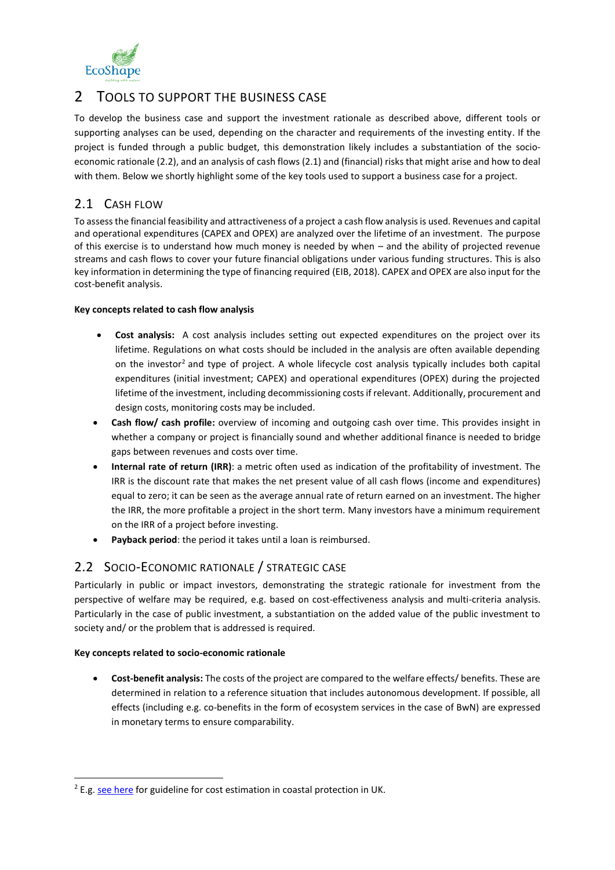

# 2 TOOLS TO SUPPORT THE BUSINESS CASE

To develop the business case and support the investment rationale as described above, different tools or supporting analyses can be used, depending on the character and requirements of the investing entity. If the project is funded through a public budget, this demonstration likely includes a substantiation of the socioeconomic rationale (2.2), and an analysis of cash flows (2.1) and (financial) risks that might arise and how to deal with them. Below we shortly highlight some of the key tools used to support a business case for a project.

## 2.1 CASH FLOW

To assess the financial feasibility and attractiveness of a project a cash flow analysis is used. Revenues and capital and operational expenditures (CAPEX and OPEX) are analyzed over the lifetime of an investment. The purpose of this exercise is to understand how much money is needed by when – and the ability of projected revenue streams and cash flows to cover your future financial obligations under various funding structures. This is also key information in determining the type of financing required (EIB, 2018). CAPEX and OPEX are also input for the cost-benefit analysis.

## **Key concepts related to cash flow analysis**

- **Cost analysis:** A cost analysis includes setting out expected expenditures on the project over its lifetime. Regulations on what costs should be included in the analysis are often available depending on the investor<sup>2</sup> and type of project. A whole lifecycle cost analysis typically includes both capital expenditures (initial investment; CAPEX) and operational expenditures (OPEX) during the projected lifetime of the investment, including decommissioning costs if relevant. Additionally, procurement and design costs, monitoring costs may be included.
- **Cash flow/ cash profile:** overview of incoming and outgoing cash over time. This provides insight in whether a company or project is financially sound and whether additional finance is needed to bridge gaps between revenues and costs over time.
- **Internal rate of return (IRR)**: a metric often used as indication of the profitability of investment. The IRR is the discount rate that makes the net present value of all cash flows (income and expenditures) equal to zero; it can be seen as the average annual rate of return earned on an investment. The higher the IRR, the more profitable a project in the short term. Many investors have a minimum requirement on the IRR of a project before investing.
- **Payback period**: the period it takes until a loan is reimbursed.

## 2.2 SOCIO-ECONOMIC RATIONALE / STRATEGIC CASE

Particularly in public or impact investors, demonstrating the strategic rationale for investment from the perspective of welfare may be required, e.g. based on cost-effectiveness analysis and multi-criteria analysis. Particularly in the case of public investment, a substantiation on the added value of the public investment to society and/ or the problem that is addressed is required.

## **Key concepts related to socio-economic rationale**

• **Cost-benefit analysis:** The costs of the project are compared to the welfare effects/ benefits. These are determined in relation to a reference situation that includes autonomous development. If possible, all effects (including e.g. co-benefits in the form of ecosystem services in the case of BwN) are expressed in monetary terms to ensure comparability.

<sup>&</sup>lt;sup>2</sup> E.g[. see here](https://assets.publishing.service.gov.uk/government/uploads/system/uploads/attachment_data/file/411178/Cost_estimation_for_coastal_protection.pdf) for guideline for cost estimation in coastal protection in UK.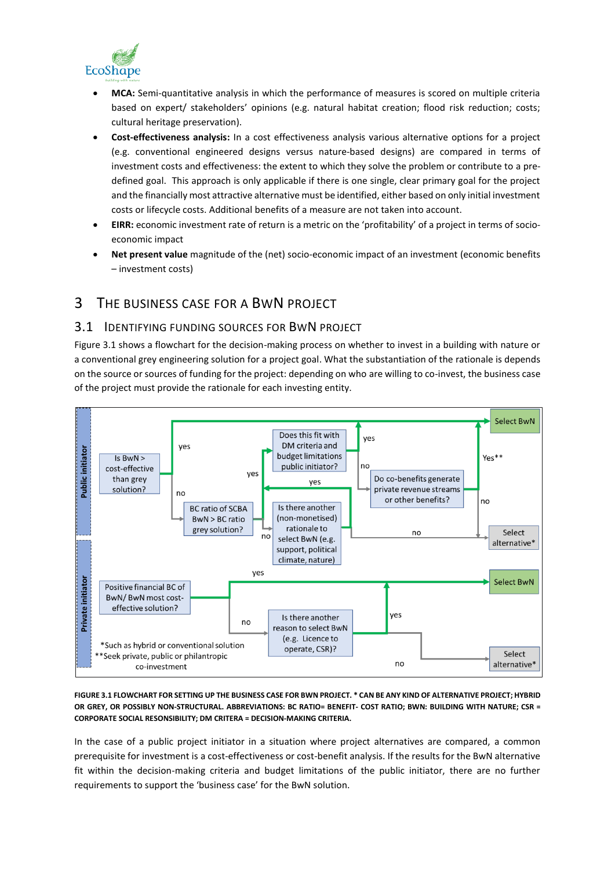

- **MCA:** Semi-quantitative analysis in which the performance of measures is scored on multiple criteria based on expert/ stakeholders' opinions (e.g. natural habitat creation; flood risk reduction; costs; cultural heritage preservation).
- **Cost-effectiveness analysis:** In a cost effectiveness analysis various alternative options for a project (e.g. conventional engineered designs versus nature-based designs) are compared in terms of investment costs and effectiveness: the extent to which they solve the problem or contribute to a predefined goal. This approach is only applicable if there is one single, clear primary goal for the project and the financially most attractive alternative must be identified, either based on only initial investment costs or lifecycle costs. Additional benefits of a measure are not taken into account.
- **EIRR:** economic investment rate of return is a metric on the 'profitability' of a project in terms of socioeconomic impact
- **Net present value** magnitude of the (net) socio-economic impact of an investment (economic benefits – investment costs)

# 3 THE BUSINESS CASE FOR A BWN PROJECT

## 3.1 IDENTIFYING FUNDING SOURCES FOR BWN PROJECT

[Figure 3.1](#page-3-0) shows a flowchart for the decision-making process on whether to invest in a building with nature or a conventional grey engineering solution for a project goal. What the substantiation of the rationale is depends on the source or sources of funding for the project: depending on who are willing to co-invest, the business case of the project must provide the rationale for each investing entity.



<span id="page-3-0"></span>**FIGURE 3.1 FLOWCHART FOR SETTING UP THE BUSINESS CASE FOR BWN PROJECT. \* CAN BE ANY KIND OF ALTERNATIVE PROJECT; HYBRID OR GREY, OR POSSIBLY NON-STRUCTURAL. ABBREVIATIONS: BC RATIO= BENEFIT- COST RATIO; BWN: BUILDING WITH NATURE; CSR = CORPORATE SOCIAL RESONSIBILITY; DM CRITERA = DECISION-MAKING CRITERIA.** 

In the case of a public project initiator in a situation where project alternatives are compared, a common prerequisite for investment is a cost-effectiveness or cost-benefit analysis. If the results for the BwN alternative fit within the decision-making criteria and budget limitations of the public initiator, there are no further requirements to support the 'business case' for the BwN solution.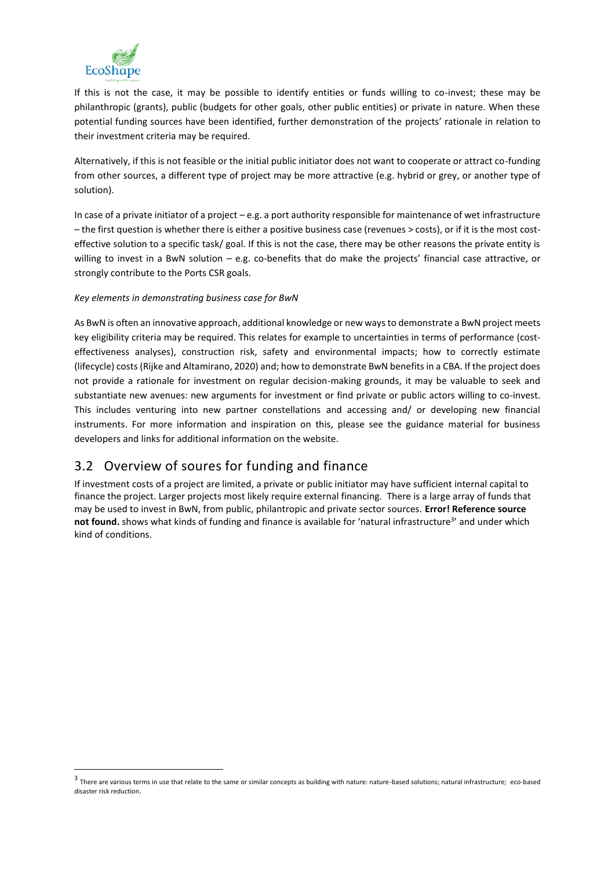

If this is not the case, it may be possible to identify entities or funds willing to co-invest; these may be philanthropic (grants), public (budgets for other goals, other public entities) or private in nature. When these potential funding sources have been identified, further demonstration of the projects' rationale in relation to their investment criteria may be required.

Alternatively, if this is not feasible or the initial public initiator does not want to cooperate or attract co-funding from other sources, a different type of project may be more attractive (e.g. hybrid or grey, or another type of solution).

In case of a private initiator of a project – e.g. a port authority responsible for maintenance of wet infrastructure – the first question is whether there is either a positive business case (revenues > costs), or if it is the most costeffective solution to a specific task/ goal. If this is not the case, there may be other reasons the private entity is willing to invest in a BwN solution – e.g. co-benefits that do make the projects' financial case attractive, or strongly contribute to the Ports CSR goals.

## *Key elements in demonstrating business case for BwN*

As BwN is often an innovative approach, additional knowledge or new ways to demonstrate a BwN project meets key eligibility criteria may be required. This relates for example to uncertainties in terms of performance (costeffectiveness analyses), construction risk, safety and environmental impacts; how to correctly estimate (lifecycle) costs (Rijke and Altamirano, 2020) and; how to demonstrate BwN benefits in a CBA. If the project does not provide a rationale for investment on regular decision-making grounds, it may be valuable to seek and substantiate new avenues: new arguments for investment or find private or public actors willing to co-invest. This includes venturing into new partner constellations and accessing and/ or developing new financial instruments. For more information and inspiration on this, please see the guidance material for business developers and links for additional information on the website.

# 3.2 Overview of soures for funding and finance

If investment costs of a project are limited, a private or public initiator may have sufficient internal capital to finance the project. Larger projects most likely require external financing. There is a large array of funds that may be used to invest in BwN, from public, philantropic and private sector sources. **Error! Reference source**  not found. shows what kinds of funding and finance is available for 'natural infrastructure<sup>3</sup>' and under which kind of conditions.

 $^3$  There are various terms in use that relate to the same or similar concepts as building with nature: nature-based solutions; natural infrastructure; eco-based disaster risk reduction.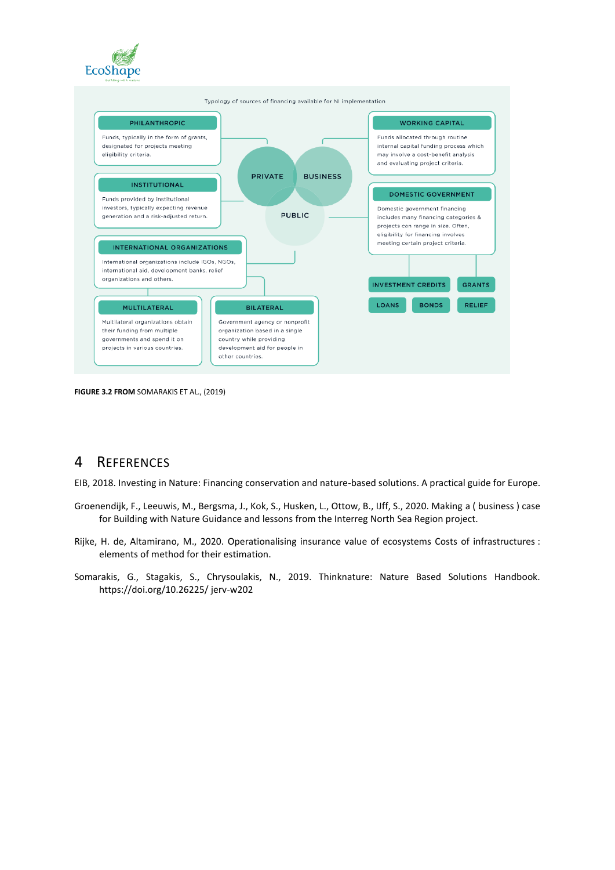



**FIGURE 3.2 FROM** SOMARAKIS ET AL., (2019)

# 4 REFERENCES

EIB, 2018. Investing in Nature: Financing conservation and nature-based solutions. A practical guide for Europe.

- Groenendijk, F., Leeuwis, M., Bergsma, J., Kok, S., Husken, L., Ottow, B., IJff, S., 2020. Making a ( business ) case for Building with Nature Guidance and lessons from the Interreg North Sea Region project.
- Rijke, H. de, Altamirano, M., 2020. Operationalising insurance value of ecosystems Costs of infrastructures : elements of method for their estimation.
- Somarakis, G., Stagakis, S., Chrysoulakis, N., 2019. Thinknature: Nature Based Solutions Handbook. https://doi.org/10.26225/ jerv-w202